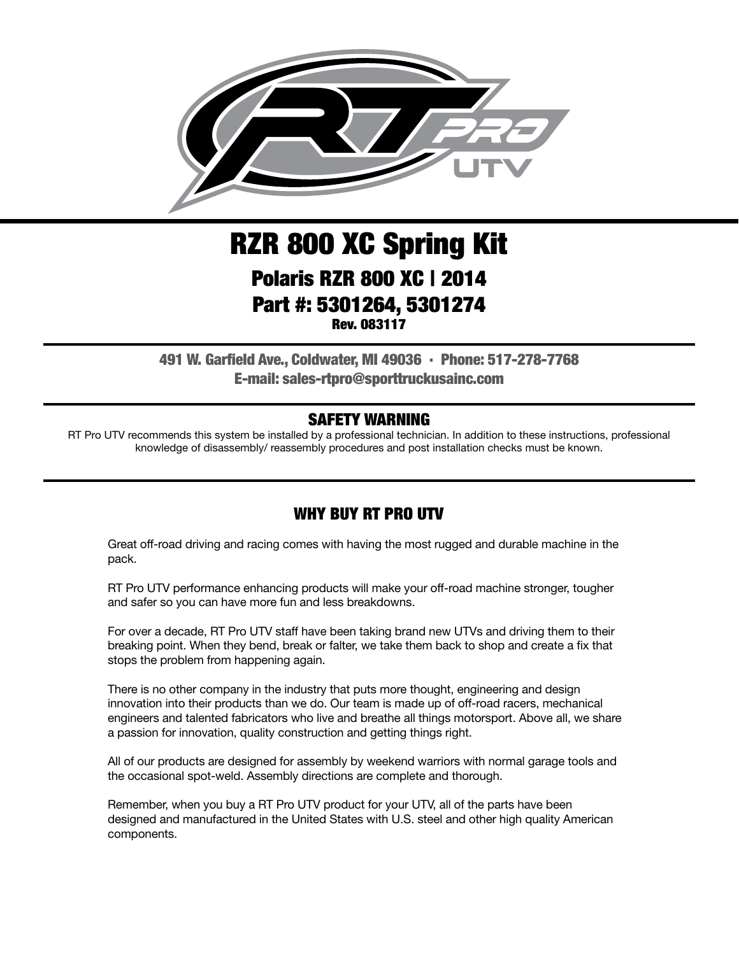

# RZR 800 XC Spring Kit Polaris RZR 800 XC | 2014 Part #: 5301264, 5301274 Rev. 083117

491 W. Garfield Ave., Coldwater, MI 49036 . Phone: 517-278-7768 E-mail: sales-rtpro@sporttruckusainc.com

#### SAFETY WARNING

RT Pro UTV recommends this system be installed by a professional technician. In addition to these instructions, professional knowledge of disassembly/ reassembly procedures and post installation checks must be known.

#### WHY BUY RT PRO UTV

Great off-road driving and racing comes with having the most rugged and durable machine in the pack.

RT Pro UTV performance enhancing products will make your off-road machine stronger, tougher and safer so you can have more fun and less breakdowns.

For over a decade, RT Pro UTV staff have been taking brand new UTVs and driving them to their breaking point. When they bend, break or falter, we take them back to shop and create a fix that stops the problem from happening again.

There is no other company in the industry that puts more thought, engineering and design innovation into their products than we do. Our team is made up of off-road racers, mechanical engineers and talented fabricators who live and breathe all things motorsport. Above all, we share a passion for innovation, quality construction and getting things right.

All of our products are designed for assembly by weekend warriors with normal garage tools and the occasional spot-weld. Assembly directions are complete and thorough.

Remember, when you buy a RT Pro UTV product for your UTV, all of the parts have been designed and manufactured in the United States with U.S. steel and other high quality American components.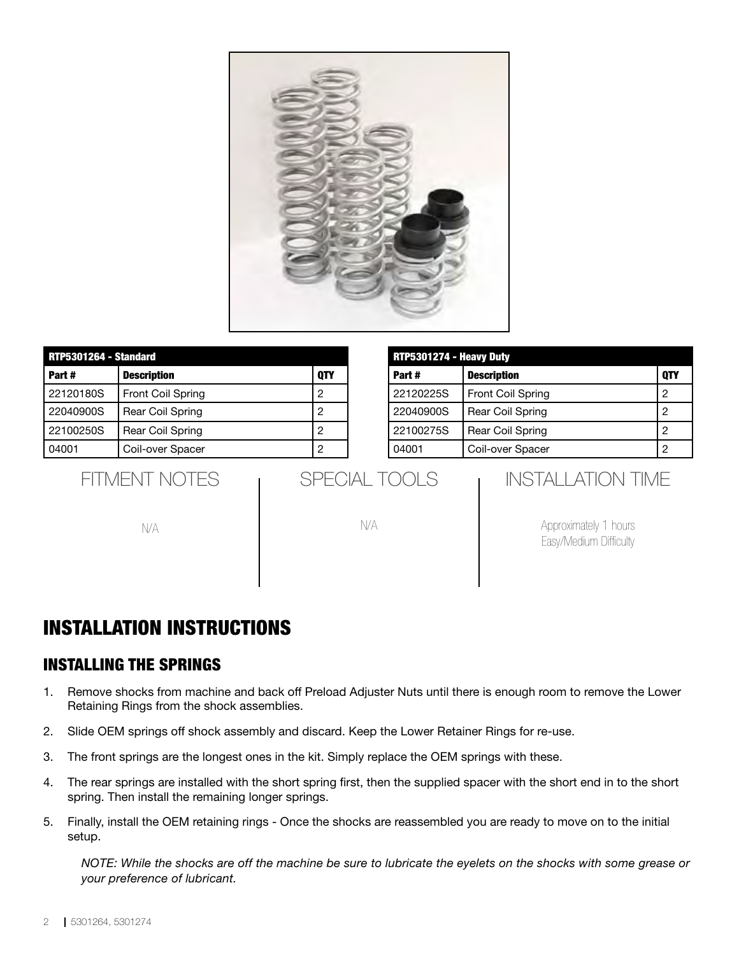

| <b>RTP5301264 - Standard</b> |                          |     |  |
|------------------------------|--------------------------|-----|--|
| Part#                        | <b>Description</b>       | 0TY |  |
| 22120180S                    | <b>Front Coil Spring</b> |     |  |
| 22040900S                    | <b>Rear Coil Spring</b>  |     |  |
| 22100250S                    | <b>Rear Coil Spring</b>  |     |  |
| 04001                        | Coil-over Spacer         |     |  |

| RTP5301274 - Heavy Duty |                         |            |  |
|-------------------------|-------------------------|------------|--|
| Part#                   | <b>Description</b>      | <b>OTY</b> |  |
| 22120225S               | Front Coil Spring       | 2          |  |
| 22040900S               | <b>Rear Coil Spring</b> | 2          |  |
| 22100275S               | Rear Coil Spring        | 2          |  |
| 04001                   | Coil-over Spacer        | 2          |  |

FITMENT NOTES

N/A

| SPECIAL TOOLS |  |
|---------------|--|
|               |  |

N/A

## INSTALLATION TIME

Approximately 1 hours Easy/Medium Difficulty

# INSTALLATION INSTRUCTIONS

### INSTALLING THE SPRINGS

- 1. Remove shocks from machine and back off Preload Adjuster Nuts until there is enough room to remove the Lower Retaining Rings from the shock assemblies.
- 2. Slide OEM springs off shock assembly and discard. Keep the Lower Retainer Rings for re-use.
- 3. The front springs are the longest ones in the kit. Simply replace the OEM springs with these.
- 4. The rear springs are installed with the short spring first, then the supplied spacer with the short end in to the short spring. Then install the remaining longer springs.
- 5. Finally, install the OEM retaining rings Once the shocks are reassembled you are ready to move on to the initial setup.

*NOTE: While the shocks are off the machine be sure to lubricate the eyelets on the shocks with some grease or your preference of lubricant.*